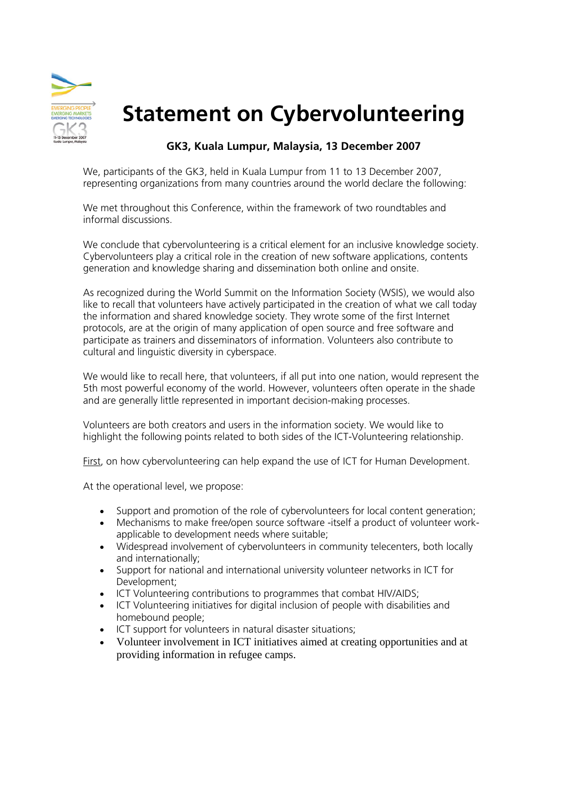

## **Statement on Cybervolunteering**

## **GK3, Kuala Lumpur, Malaysia, 13 December 2007**

We, participants of the GK3, held in Kuala Lumpur from 11 to 13 December 2007, representing organizations from many countries around the world declare the following:

We met throughout this Conference, within the framework of two roundtables and informal discussions.

We conclude that cybervolunteering is a critical element for an inclusive knowledge society. Cybervolunteers play a critical role in the creation of new software applications, contents generation and knowledge sharing and dissemination both online and onsite.

As recognized during the World Summit on the Information Society (WSIS), we would also like to recall that volunteers have actively participated in the creation of what we call today the information and shared knowledge society. They wrote some of the first Internet protocols, are at the origin of many application of open source and free software and participate as trainers and disseminators of information. Volunteers also contribute to cultural and linguistic diversity in cyberspace.

We would like to recall here, that volunteers, if all put into one nation, would represent the 5th most powerful economy of the world. However, volunteers often operate in the shade and are generally little represented in important decision-making processes.

Volunteers are both creators and users in the information society. We would like to highlight the following points related to both sides of the ICT-Volunteering relationship.

First, on how cybervolunteering can help expand the use of ICT for Human Development.

At the operational level, we propose:

- Support and promotion of the role of cybervolunteers for local content generation;
- Mechanisms to make free/open source software -itself a product of volunteer workapplicable to development needs where suitable;
- Widespread involvement of cybervolunteers in community telecenters, both locally and internationally;
- Support for national and international university volunteer networks in ICT for Development;
- ICT Volunteering contributions to programmes that combat HIV/AIDS;
- ICT Volunteering initiatives for digital inclusion of people with disabilities and homebound people;
- ICT support for volunteers in natural disaster situations;
- Volunteer involvement in ICT initiatives aimed at creating opportunities and at providing information in refugee camps.